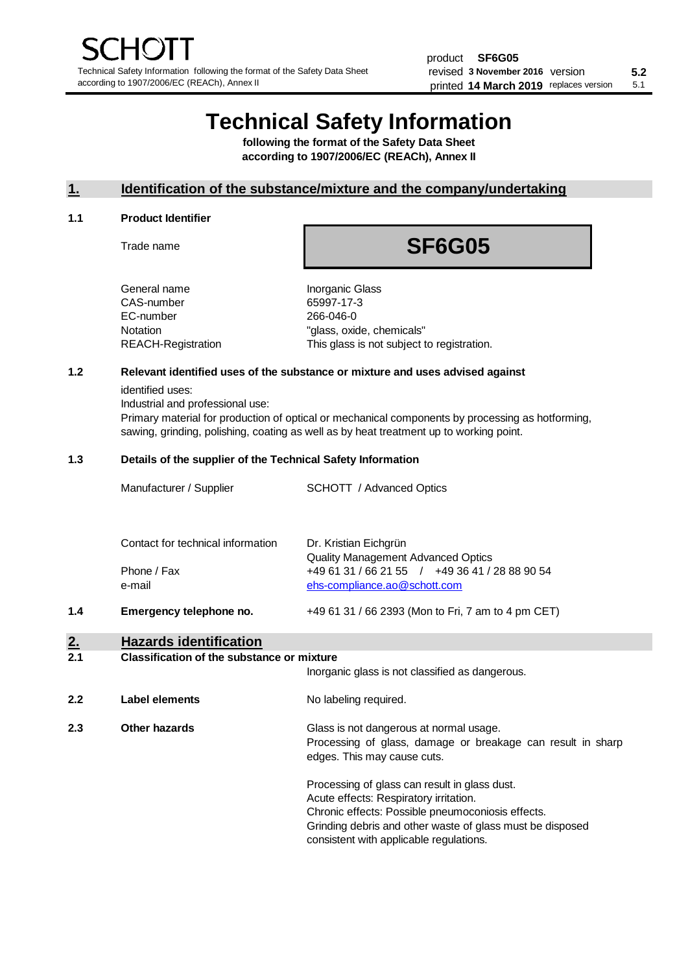# **Technical Safety Information**

**following the format of the Safety Data Sheet according to 1907/2006/EC (REACh), Annex II**

# **1. Identification of the substance/mixture and the company/undertaking**

#### **1.1 Product Identifier**

Trade name

# **SF6G05**

| General name       |
|--------------------|
| CAS-number         |
| EC-number          |
| Notation           |
| REACH-Registration |

**Inorganic Glass** 65997-17-3 266-046-0 "glass, oxide, chemicals" This glass is not subject to registration.

# **1.2 Relevant identified uses of the substance or mixture and uses advised against**

identified uses:

Industrial and professional use:

Primary material for production of optical or mechanical components by processing as hotforming, sawing, grinding, polishing, coating as well as by heat treatment up to working point.

#### **1.3 Details of the supplier of the Technical Safety Information**

|     | Manufacturer / Supplier           | <b>SCHOTT</b> / Advanced Optics                                                             |
|-----|-----------------------------------|---------------------------------------------------------------------------------------------|
|     | Contact for technical information | Dr. Kristian Eichgrün                                                                       |
|     | Phone / Fax                       | <b>Quality Management Advanced Optics</b><br>+49 61 31 / 66 21 55 / +49 36 41 / 28 88 90 54 |
|     | e-mail                            | ehs-compliance.ao@schott.com                                                                |
| 1.4 | Emergency telephone no.           | +49 61 31 / 66 2393 (Mon to Fri, 7 am to 4 pm CET)                                          |
|     |                                   |                                                                                             |

# **2. Hazards identification**

# **2.1 Classification of the substance or mixture**

|     |                | Inorganic glass is not classified as dangerous.                                                                                                                                                                                                      |
|-----|----------------|------------------------------------------------------------------------------------------------------------------------------------------------------------------------------------------------------------------------------------------------------|
| 2.2 | Label elements | No labeling required.                                                                                                                                                                                                                                |
| 2.3 | Other hazards  | Glass is not dangerous at normal usage.<br>Processing of glass, damage or breakage can result in sharp<br>edges. This may cause cuts.                                                                                                                |
|     |                | Processing of glass can result in glass dust.<br>Acute effects: Respiratory irritation.<br>Chronic effects: Possible pneumoconiosis effects.<br>Grinding debris and other waste of glass must be disposed<br>consistent with applicable regulations. |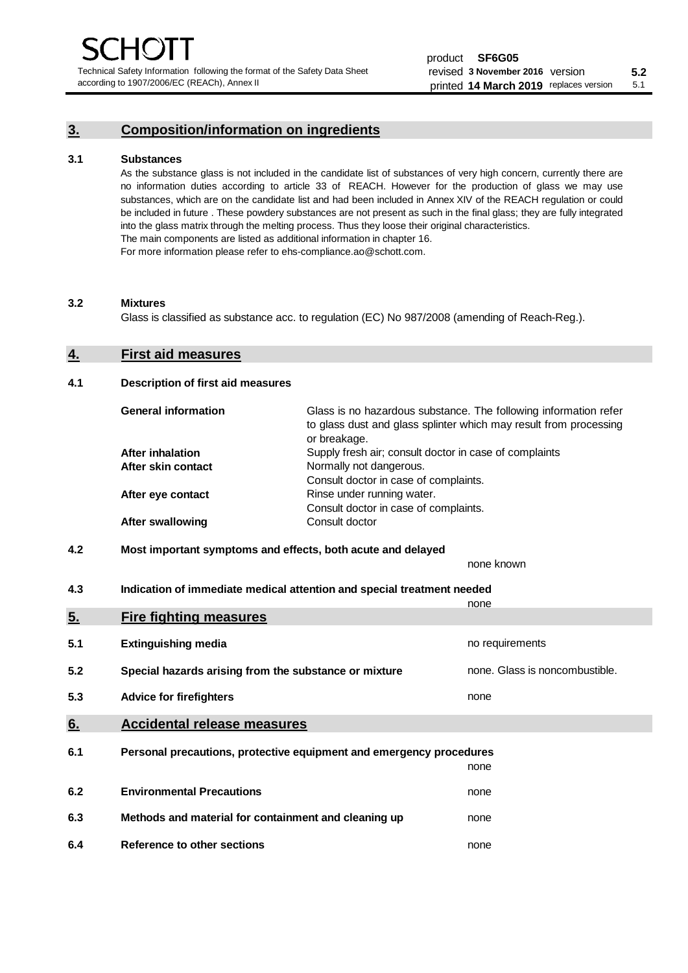Technical Safety Information following the format of the Safety Data Sheet according to 1907/2006/EC (REACh), Annex II

# **3. Composition/information on ingredients**

#### **3.1 Substances**

As the substance glass is not included in the candidate list of substances of very high concern, currently there are no information duties according to article 33 of REACH. However for the production of glass we may use substances, which are on the candidate list and had been included in Annex XIV of the REACH regulation or could be included in future . These powdery substances are not present as such in the final glass; they are fully integrated into the glass matrix through the melting process. Thus they loose their original characteristics. The main components are listed as additional information in chapter 16. For more information please refer to ehs-compliance.ao@schott.com.

#### **3.2 Mixtures**

Glass is classified as substance acc. to regulation (EC) No 987/2008 (amending of Reach-Reg.).

## **4. First aid measures**

#### **4.1 Description of first aid measures**

| <b>General information</b> | Glass is no hazardous substance. The following information refer<br>to glass dust and glass splinter which may result from processing<br>or breakage. |
|----------------------------|-------------------------------------------------------------------------------------------------------------------------------------------------------|
| <b>After inhalation</b>    | Supply fresh air; consult doctor in case of complaints                                                                                                |
| After skin contact         | Normally not dangerous.                                                                                                                               |
|                            | Consult doctor in case of complaints.                                                                                                                 |
| After eye contact          | Rinse under running water.                                                                                                                            |
|                            | Consult doctor in case of complaints.                                                                                                                 |
| <b>After swallowing</b>    | Consult doctor                                                                                                                                        |

# **4.2 Most important symptoms and effects, both acute and delayed**

none known **4.3 Indication of immediate medical attention and special treatment needed** 

|     |                                                                     | none                           |  |
|-----|---------------------------------------------------------------------|--------------------------------|--|
| 5.  | <b>Fire fighting measures</b>                                       |                                |  |
| 5.1 | <b>Extinguishing media</b>                                          | no requirements                |  |
| 5.2 | Special hazards arising from the substance or mixture               | none. Glass is noncombustible. |  |
| 5.3 | <b>Advice for firefighters</b>                                      | none                           |  |
| 6.  | <b>Accidental release measures</b>                                  |                                |  |
| 6.1 | Personal precautions, protective equipment and emergency procedures |                                |  |
|     |                                                                     | none                           |  |
| 6.2 | <b>Environmental Precautions</b>                                    | none                           |  |
| 6.3 | Methods and material for containment and cleaning up                | none                           |  |
| 6.4 | Reference to other sections                                         | none                           |  |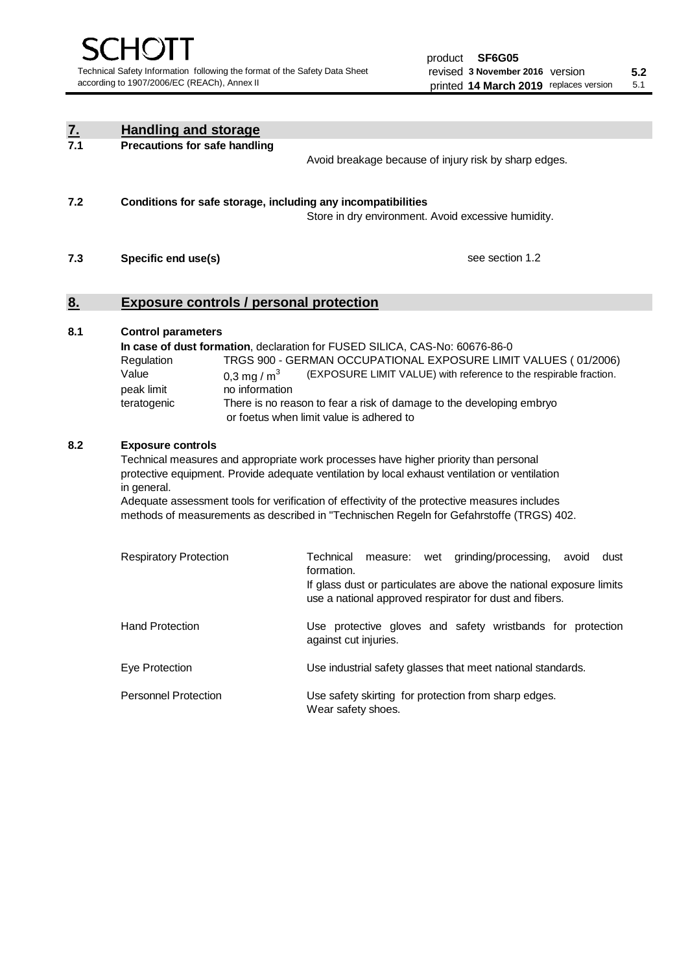| <u>7.</u> | <b>Handling and storage</b>                                                                                                                                                                                                                                                                                                                                                                                                    |                                                                                                                                                                                                                                                                                                                                        |  |  |  |  |
|-----------|--------------------------------------------------------------------------------------------------------------------------------------------------------------------------------------------------------------------------------------------------------------------------------------------------------------------------------------------------------------------------------------------------------------------------------|----------------------------------------------------------------------------------------------------------------------------------------------------------------------------------------------------------------------------------------------------------------------------------------------------------------------------------------|--|--|--|--|
| 7.1       | <b>Precautions for safe handling</b>                                                                                                                                                                                                                                                                                                                                                                                           | Avoid breakage because of injury risk by sharp edges.                                                                                                                                                                                                                                                                                  |  |  |  |  |
| 7.2       | Conditions for safe storage, including any incompatibilities                                                                                                                                                                                                                                                                                                                                                                   | Store in dry environment. Avoid excessive humidity.                                                                                                                                                                                                                                                                                    |  |  |  |  |
| 7.3       | Specific end use(s)                                                                                                                                                                                                                                                                                                                                                                                                            | see section 1.2                                                                                                                                                                                                                                                                                                                        |  |  |  |  |
| 8.        |                                                                                                                                                                                                                                                                                                                                                                                                                                | <b>Exposure controls / personal protection</b>                                                                                                                                                                                                                                                                                         |  |  |  |  |
| 8.1       | <b>Control parameters</b><br>Regulation<br>Value<br>0,3 mg / $m3$<br>peak limit<br>no information<br>teratogenic                                                                                                                                                                                                                                                                                                               | In case of dust formation, declaration for FUSED SILICA, CAS-No: 60676-86-0<br>TRGS 900 - GERMAN OCCUPATIONAL EXPOSURE LIMIT VALUES (01/2006)<br>(EXPOSURE LIMIT VALUE) with reference to the respirable fraction.<br>There is no reason to fear a risk of damage to the developing embryo<br>or foetus when limit value is adhered to |  |  |  |  |
| 8.2       | <b>Exposure controls</b><br>Technical measures and appropriate work processes have higher priority than personal<br>protective equipment. Provide adequate ventilation by local exhaust ventilation or ventilation<br>in general.<br>Adequate assessment tools for verification of effectivity of the protective measures includes<br>methods of measurements as described in "Technischen Regeln for Gefahrstoffe (TRGS) 402. |                                                                                                                                                                                                                                                                                                                                        |  |  |  |  |
|           | <b>Respiratory Protection</b>                                                                                                                                                                                                                                                                                                                                                                                                  | Technical<br>grinding/processing,<br>avoid<br>dust<br>measure: wet<br>formation.<br>If glass dust or particulates are above the national exposure limits<br>use a national approved respirator for dust and fibers.                                                                                                                    |  |  |  |  |
|           | <b>Hand Protection</b>                                                                                                                                                                                                                                                                                                                                                                                                         | Use protective gloves and safety wristbands for protection<br>against cut injuries.                                                                                                                                                                                                                                                    |  |  |  |  |
|           | Eye Protection                                                                                                                                                                                                                                                                                                                                                                                                                 | Use industrial safety glasses that meet national standards.                                                                                                                                                                                                                                                                            |  |  |  |  |
|           | <b>Personnel Protection</b>                                                                                                                                                                                                                                                                                                                                                                                                    | Use safety skirting for protection from sharp edges.<br>Wear safety shoes.                                                                                                                                                                                                                                                             |  |  |  |  |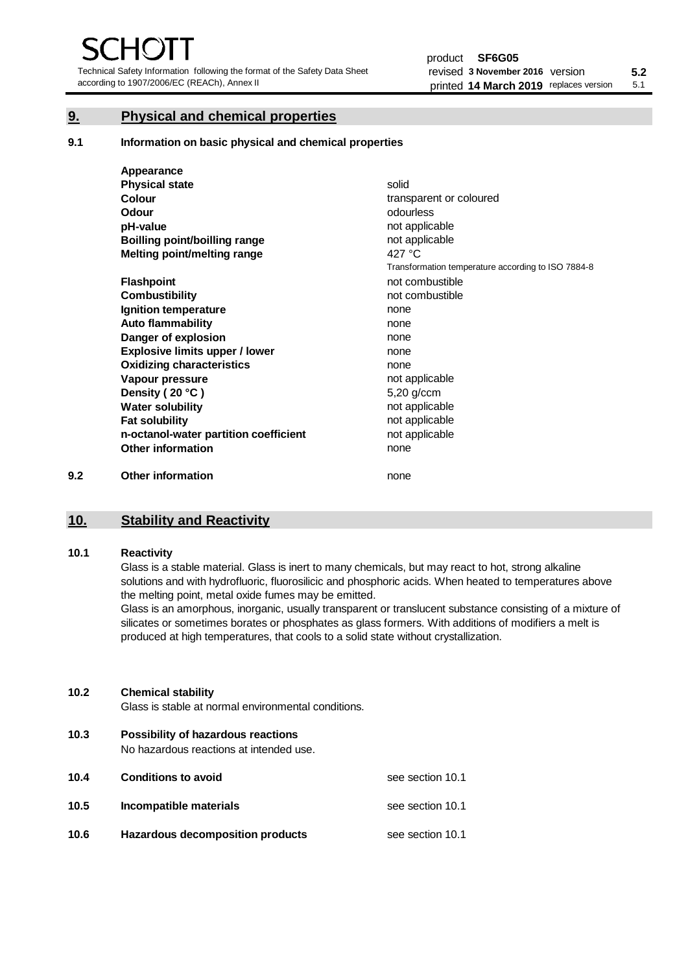Technical Safety Information following the format of the Safety Data Sheet according to 1907/2006/EC (REACh), Annex II

# **9. Physical and chemical properties**

**9.1 Information on basic physical and chemical properties**

|     | Appearance                            |                                                    |
|-----|---------------------------------------|----------------------------------------------------|
|     | <b>Physical state</b>                 | solid                                              |
|     | <b>Colour</b>                         | transparent or coloured                            |
|     | Odour                                 | odourless                                          |
|     | pH-value                              | not applicable                                     |
|     | <b>Boilling point/boilling range</b>  | not applicable                                     |
|     | Melting point/melting range           | 427 °C                                             |
|     |                                       | Transformation temperature according to ISO 7884-8 |
|     | <b>Flashpoint</b>                     | not combustible                                    |
|     | <b>Combustibility</b>                 | not combustible                                    |
|     | Ignition temperature                  | none                                               |
|     | <b>Auto flammability</b>              | none                                               |
|     | Danger of explosion                   | none                                               |
|     | <b>Explosive limits upper / lower</b> | none                                               |
|     | <b>Oxidizing characteristics</b>      | none                                               |
|     | Vapour pressure                       | not applicable                                     |
|     | Density (20 °C)                       | 5,20 g/ccm                                         |
|     | <b>Water solubility</b>               | not applicable                                     |
|     | <b>Fat solubility</b>                 | not applicable                                     |
|     | n-octanol-water partition coefficient | not applicable                                     |
|     | <b>Other information</b>              | none                                               |
| 9.2 | <b>Other information</b>              | none                                               |

# **10. Stability and Reactivity**

### **10.1 Reactivity**

Glass is a stable material. Glass is inert to many chemicals, but may react to hot, strong alkaline solutions and with hydrofluoric, fluorosilicic and phosphoric acids. When heated to temperatures above the melting point, metal oxide fumes may be emitted.

Glass is an amorphous, inorganic, usually transparent or translucent substance consisting of a mixture of silicates or sometimes borates or phosphates as glass formers. With additions of modifiers a melt is produced at high temperatures, that cools to a solid state without crystallization.

### **10.2 Chemical stability**

Glass is stable at normal environmental conditions.

**10.3 Possibility of hazardous reactions** 

No hazardous reactions at intended use.

| 10.4 | <b>Conditions to avoid</b>       | see section 10.1 |
|------|----------------------------------|------------------|
| 10.5 | Incompatible materials           | see section 10.1 |
| 10.6 | Hazardous decomposition products | see section 10.1 |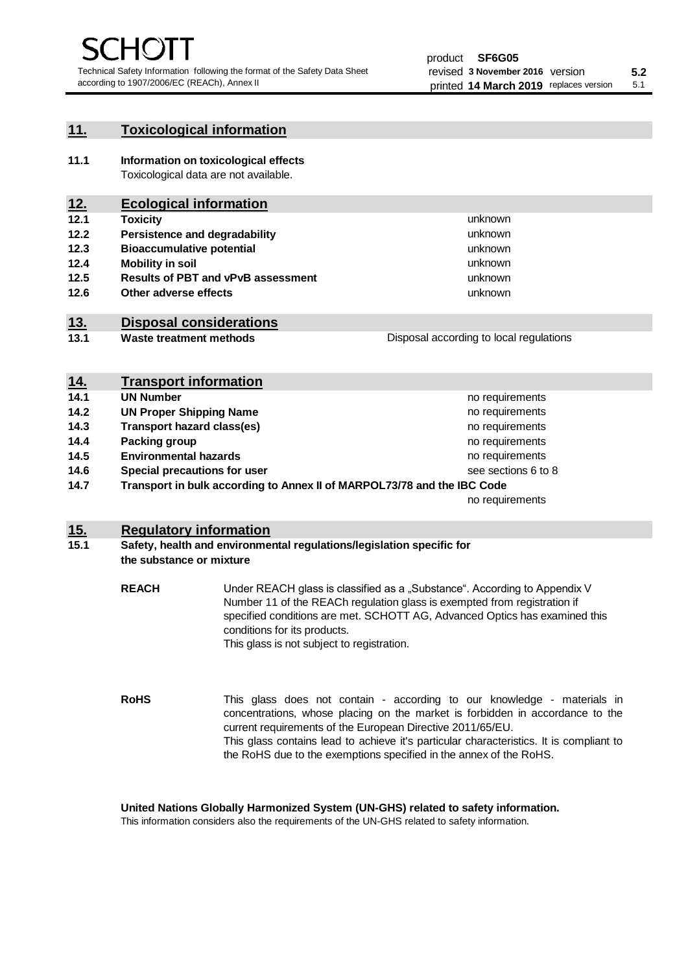unknown unknown unknown

unknown unknown unknown

Disposal according to local regulations

# **11. Toxicological information**

**11.1 Information on toxicological effects** Toxicological data are not available.

# **12. Ecological information**

- **12.1 Toxicity**
- **12.2 Persistence and degradability**
- **12.3 Bioaccumulative potential**
- **12.4 Mobility in soil**
- **12.5 Results of PBT and vPvB assessment**
- **12.6 Other adverse effects**

# **13. Disposal considerations**

**13.1 Waste treatment methods**

| <u>14.</u> | <b>Transport information</b>                                            |                     |
|------------|-------------------------------------------------------------------------|---------------------|
| 14.1       | <b>UN Number</b>                                                        | no requirements     |
| 14.2       | <b>UN Proper Shipping Name</b>                                          | no requirements     |
| 14.3       | <b>Transport hazard class(es)</b>                                       | no requirements     |
| 14.4       | Packing group                                                           | no requirements     |
| 14.5       | <b>Environmental hazards</b>                                            | no requirements     |
| 14.6       | Special precautions for user                                            | see sections 6 to 8 |
| 14.7       | Transport in bulk according to Annex II of MARPOL73/78 and the IBC Code |                     |
|            |                                                                         | no requirements     |

# **15. Regulatory information**

### **15.1 Safety, health and environmental regulations/legislation specific for the substance or mixture**

**REACH** Under REACH glass is classified as a "Substance". According to Appendix V Number 11 of the REACh regulation glass is exempted from registration if specified conditions are met. SCHOTT AG, Advanced Optics has examined this conditions for its products. This glass is not subject to registration.

**RoHS** This glass does not contain - according to our knowledge - materials in concentrations, whose placing on the market is forbidden in accordance to the current requirements of the European Directive 2011/65/EU. This glass contains lead to achieve it's particular characteristics. It is compliant to the RoHS due to the exemptions specified in the annex of the RoHS.

**United Nations Globally Harmonized System (UN-GHS) related to safety information.**

This information considers also the requirements of the UN-GHS related to safety information.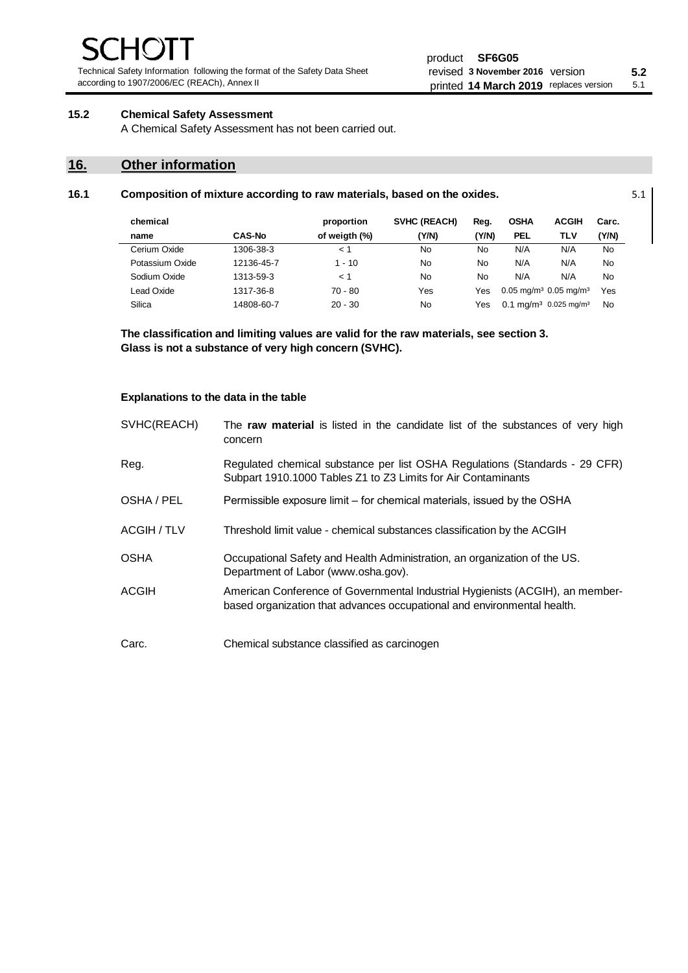Technical Safety Information following the format of the Safety Data Sheet according to 1907/2006/EC (REACh), Annex II

# **15.2 Chemical Safety Assessment**

A Chemical Safety Assessment has not been carried out.

# **16. Other information**

| chemical        |               | proportion    | <b>SVHC (REACH)</b> | Reg.  | <b>OSHA</b> | <b>ACGIH</b>                                    | Carc.     |
|-----------------|---------------|---------------|---------------------|-------|-------------|-------------------------------------------------|-----------|
| name            | <b>CAS-No</b> | of weigth (%) | (Y/N)               | (Y/N) | <b>PEL</b>  | TLV                                             | (Y/N)     |
| Cerium Oxide    | 1306-38-3     | $\lt$ 1       | No                  | No    | N/A         | N/A                                             | No        |
| Potassium Oxide | 12136-45-7    | $1 - 10$      | No                  | No    | N/A         | N/A                                             | No        |
| Sodium Oxide    | 1313-59-3     | < 1           | No                  | No    | N/A         | N/A                                             | No        |
| Lead Oxide      | 1317-36-8     | $70 - 80$     | Yes                 | Yes   |             | $0.05$ mg/m <sup>3</sup> 0.05 mg/m <sup>3</sup> | Yes       |
| Silica          | 14808-60-7    | $20 - 30$     | No                  | Yes   |             | 0.1 mg/m <sup>3</sup> 0.025 mg/m <sup>3</sup>   | <b>No</b> |

**16.1 Composition of mixture according to raw materials, based on the oxides.** 5.1

**The classification and limiting values are valid for the raw materials, see section 3. Glass is not a substance of very high concern (SVHC).**

#### **Explanations to the data in the table**

| SVHC(REACH) | The raw material is listed in the candidate list of the substances of very high<br>concern                                                               |
|-------------|----------------------------------------------------------------------------------------------------------------------------------------------------------|
| Reg.        | Regulated chemical substance per list OSHA Regulations (Standards - 29 CFR)<br>Subpart 1910.1000 Tables Z1 to Z3 Limits for Air Contaminants             |
| OSHA / PEL  | Permissible exposure limit – for chemical materials, issued by the OSHA                                                                                  |
| ACGIH / TLV | Threshold limit value - chemical substances classification by the ACGIH                                                                                  |
| <b>OSHA</b> | Occupational Safety and Health Administration, an organization of the US.<br>Department of Labor (www.osha.gov).                                         |
| ACGIH       | American Conference of Governmental Industrial Hygienists (ACGIH), an member-<br>based organization that advances occupational and environmental health. |
| Carc.       | Chemical substance classified as carcinogen                                                                                                              |